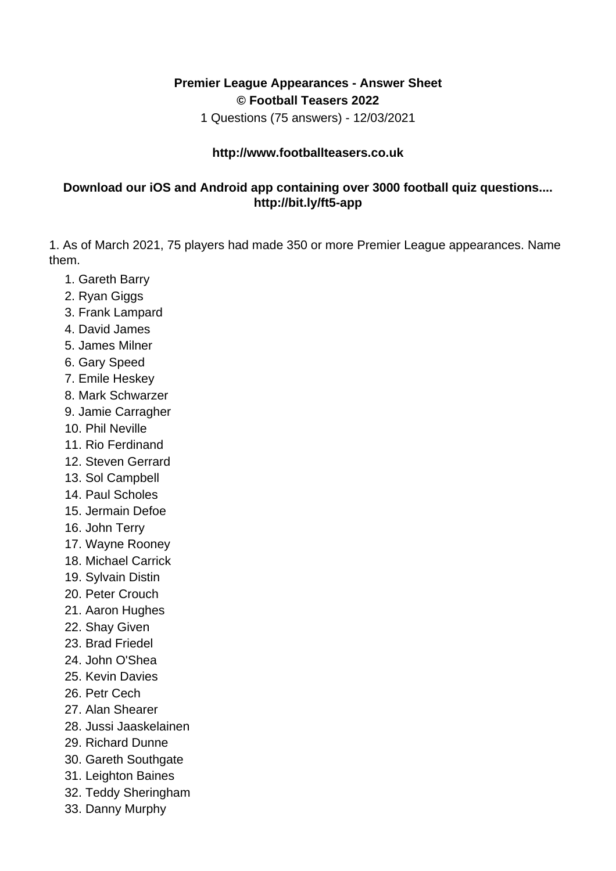## **Premier League Appearances - Answer Sheet © Football Teasers 2022**

1 Questions (75 answers) - 12/03/2021

## **http://www.footballteasers.co.uk**

## **Download our iOS and Android app containing over 3000 football quiz questions.... http://bit.ly/ft5-app**

1. As of March 2021, 75 players had made 350 or more Premier League appearances. Name them.

- 1. Gareth Barry
- 2. Ryan Giggs
- 3. Frank Lampard
- 4. David James
- 5. James Milner
- 6. Gary Speed
- 7. Emile Heskey
- 8. Mark Schwarzer
- 9. Jamie Carragher
- 10. Phil Neville
- 11. Rio Ferdinand
- 12. Steven Gerrard
- 13. Sol Campbell
- 14. Paul Scholes
- 15. Jermain Defoe
- 16. John Terry
- 17. Wayne Rooney
- 18. Michael Carrick
- 19. Sylvain Distin
- 20. Peter Crouch
- 21. Aaron Hughes
- 22. Shay Given
- 23. Brad Friedel
- 24. John O'Shea
- 25. Kevin Davies
- 26. Petr Cech
- 27. Alan Shearer
- 28. Jussi Jaaskelainen
- 29. Richard Dunne
- 30. Gareth Southgate
- 31. Leighton Baines
- 32. Teddy Sheringham
- 33. Danny Murphy